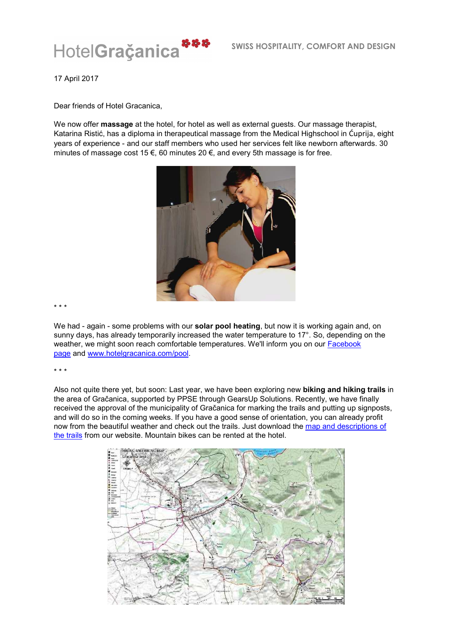

17 April 2017

Dear friends of Hotel Gracanica,

We now offer **massage** at the hotel, for hotel as well as external guests. Our massage therapist, Katarina Ristić, has a diploma in therapeutical massage from the Medical Highschool in Ćuprija, eight years of experience - and our staff members who used her services felt like newborn afterwards. 30 minutes of massage cost 15  $\epsilon$ , 60 minutes 20  $\epsilon$ , and every 5th massage is for free.



\* \* \*

We had - again - some problems with our **solar pool heating**, but now it is working again and, on sunny days, has already temporarily increased the water temperature to 17°. So, depending on the weather, we might soon reach comfortable temperatures. We'll inform you on our **Facebook** page and www.hotelgracanica.com/pool.

\* \* \*

Also not quite there yet, but soon: Last year, we have been exploring new **biking and hiking trails** in the area of Gračanica, supported by PPSE through GearsUp Solutions. Recently, we have finally received the approval of the municipality of Gračanica for marking the trails and putting up signposts, and will do so in the coming weeks. If you have a good sense of orientation, you can already profit now from the beautiful weather and check out the trails. Just download the map and descriptions of the trails from our website. Mountain bikes can be rented at the hotel.